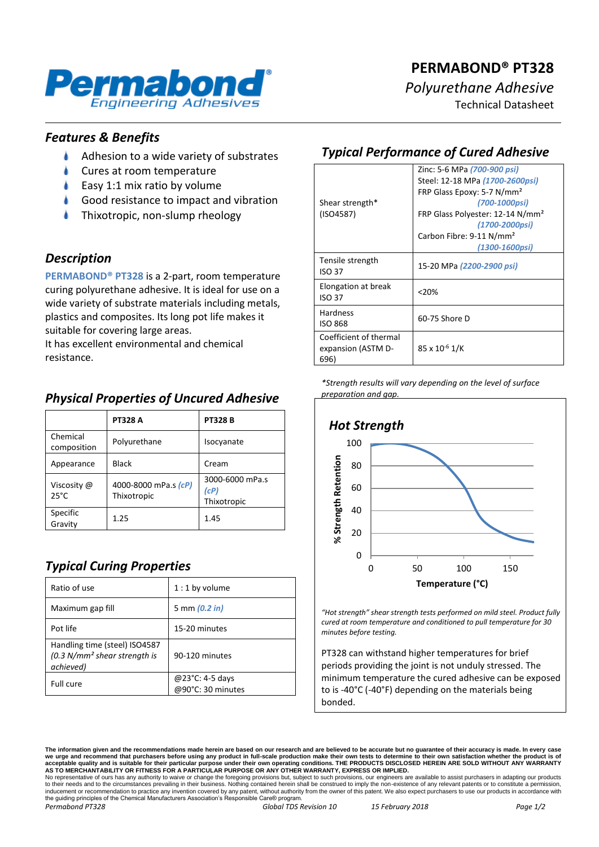

# **PERMABOND® PT328** *Polyurethane Adhesive*

Technical Datasheet

#### *Features & Benefits*

- $\blacktriangle$ Adhesion to a wide variety of substrates
- Cures at room temperature
- Easy 1:1 mix ratio by volume
- Good resistance to impact and vibration
- Thixotropic, non-slump rheology

#### *Description*

**PERMABOND® PT328** is a 2-part, room temperature curing polyurethane adhesive. It is ideal for use on a wide variety of substrate materials including metals, plastics and composites. Its long pot life makes it suitable for covering large areas.

It has excellent environmental and chemical resistance.

### *Physical Properties of Uncured Adhesive*

|                               | <b>PT328 A</b>                      | <b>PT328 B</b>                         |
|-------------------------------|-------------------------------------|----------------------------------------|
| Chemical<br>composition       | Polyurethane                        | Isocyanate                             |
| Appearance                    | <b>Black</b>                        | Cream                                  |
| Viscosity @<br>$25^{\circ}$ C | 4000-8000 mPa.s (cP)<br>Thixotropic | 3000-6000 mPa.s<br>(cP)<br>Thixotropic |
| Specific<br>Gravity           | 1.25                                | 1.45                                   |

### *Typical Curing Properties*

| Ratio of use                                                                 | $1:1$ by volume                      |
|------------------------------------------------------------------------------|--------------------------------------|
| Maximum gap fill                                                             | 5 mm $(0.2 in)$                      |
| Pot life                                                                     | 15-20 minutes                        |
| Handling time (steel) ISO4587<br>$(0.3 N/mm2 shear strength is$<br>achieved) | 90-120 minutes                       |
| Full cure                                                                    | @23°C: 4-5 days<br>@90°C: 30 minutes |

## *Typical Performance of Cured Adhesive*

|                                   | Zinc: 5-6 MPa (700-900 psi)                  |  |
|-----------------------------------|----------------------------------------------|--|
|                                   | Steel: 12-18 MPa (1700-2600psi)              |  |
|                                   | FRP Glass Epoxy: 5-7 N/mm <sup>2</sup>       |  |
| Shear strength*                   | (700-1000psi)                                |  |
| (ISO4587)                         | FRP Glass Polyester: 12-14 N/mm <sup>2</sup> |  |
|                                   | (1700-2000psi)                               |  |
|                                   | Carbon Fibre: 9-11 N/mm <sup>2</sup>         |  |
|                                   | (1300-1600psi)                               |  |
| Tensile strength<br><b>ISO 37</b> | 15-20 MPa (2200-2900 psi)                    |  |
| Elongation at break<br>ISO 37     | < 20%                                        |  |
| <b>Hardness</b>                   | 60-75 Shore D                                |  |
| <b>ISO 868</b>                    |                                              |  |
| Coefficient of thermal            |                                              |  |
| expansion (ASTM D-                | 85 x 10 <sup>-6</sup> 1/K                    |  |
| 696)                              |                                              |  |

*\*Strength results will vary depending on the level of surface preparation and gap.*



*"Hot strength" shear strength tests performed on mild steel. Product fully cured at room temperature and conditioned to pull temperature for 30 minutes before testing.*

PT328 can withstand higher temperatures for brief periods providing the joint is not unduly stressed. The minimum temperature the cured adhesive can be exposed to is -40°C (-40°F) depending on the materials being bonded.

**The information given and the recommendations made herein are based on our research and are believed to be accurate but no guarantee of their accuracy is made. In every case**  we urge and recommend that purchasers before using any product in full-scale production make their own tests to determine to their own satisfaction whether the product is of<br>acceptable quality and is suitable for their par

No representative of ours has any authority to waive or change the foregoing provisions but, subject to such provisions, our engineers are available to assist purchasers in adapting our products<br>to their needs and to the c the guiding principles of the Chemical Manufacturers Association's Responsible Care® program. *Permabond PT328 Global TDS Revision 10 15 February 2018 Page 1/2*